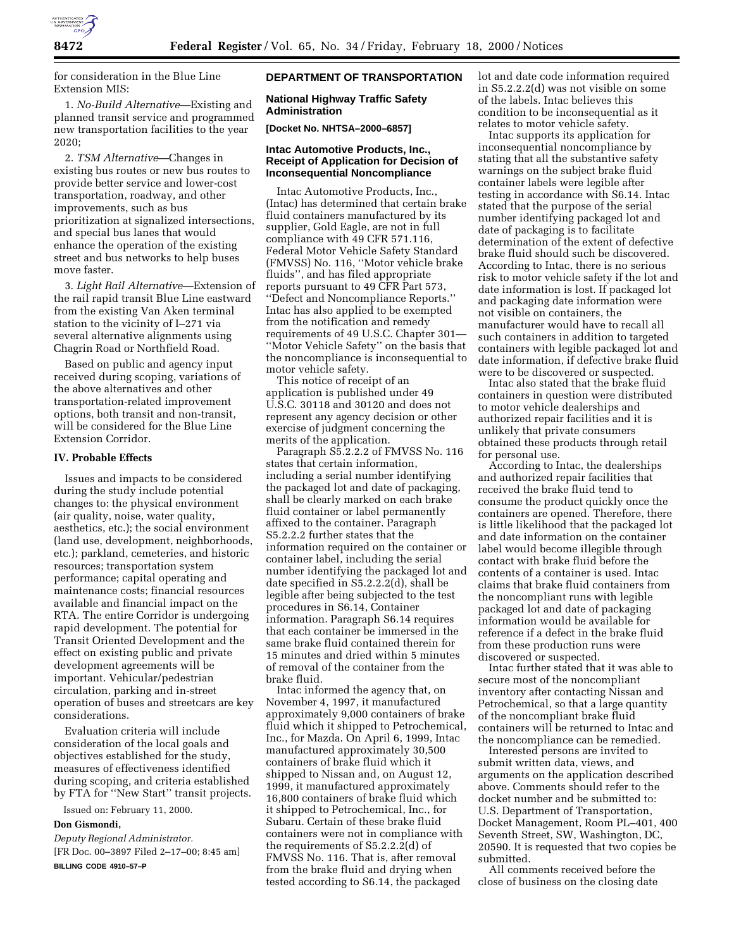

for consideration in the Blue Line Extension MIS:

1. *No-Build Alternative*—Existing and planned transit service and programmed new transportation facilities to the year 2020;

2. *TSM Alternative*—Changes in existing bus routes or new bus routes to provide better service and lower-cost transportation, roadway, and other improvements, such as bus prioritization at signalized intersections, and special bus lanes that would enhance the operation of the existing street and bus networks to help buses move faster.

3. *Light Rail Alternative*—Extension of the rail rapid transit Blue Line eastward from the existing Van Aken terminal station to the vicinity of I–271 via several alternative alignments using Chagrin Road or Northfield Road.

Based on public and agency input received during scoping, variations of the above alternatives and other transportation-related improvement options, both transit and non-transit, will be considered for the Blue Line Extension Corridor.

#### **IV. Probable Effects**

Issues and impacts to be considered during the study include potential changes to: the physical environment (air quality, noise, water quality, aesthetics, etc.); the social environment (land use, development, neighborhoods, etc.); parkland, cemeteries, and historic resources; transportation system performance; capital operating and maintenance costs; financial resources available and financial impact on the RTA. The entire Corridor is undergoing rapid development. The potential for Transit Oriented Development and the effect on existing public and private development agreements will be important. Vehicular/pedestrian circulation, parking and in-street operation of buses and streetcars are key considerations.

Evaluation criteria will include consideration of the local goals and objectives established for the study, measures of effectiveness identified during scoping, and criteria established by FTA for ''New Start'' transit projects.

Issued on: February 11, 2000.

# **Don Gismondi,**

*Deputy Regional Administrator.* [FR Doc. 00–3897 Filed 2–17–00; 8:45 am] **BILLING CODE 4910–57–P**

## **DEPARTMENT OF TRANSPORTATION**

# **National Highway Traffic Safety Administration**

**[Docket No. NHTSA–2000–6857]**

# **Intac Automotive Products, Inc., Receipt of Application for Decision of Inconsequential Noncompliance**

Intac Automotive Products, Inc., (Intac) has determined that certain brake fluid containers manufactured by its supplier, Gold Eagle, are not in full compliance with 49 CFR 571.116, Federal Motor Vehicle Safety Standard (FMVSS) No. 116, ''Motor vehicle brake fluids'', and has filed appropriate reports pursuant to 49 CFR Part 573, ''Defect and Noncompliance Reports.'' Intac has also applied to be exempted from the notification and remedy requirements of 49 U.S.C. Chapter 301— ''Motor Vehicle Safety'' on the basis that the noncompliance is inconsequential to motor vehicle safety.

This notice of receipt of an application is published under 49 U.S.C. 30118 and 30120 and does not represent any agency decision or other exercise of judgment concerning the merits of the application.

Paragraph S5.2.2.2 of FMVSS No. 116 states that certain information, including a serial number identifying the packaged lot and date of packaging, shall be clearly marked on each brake fluid container or label permanently affixed to the container. Paragraph S5.2.2.2 further states that the information required on the container or container label, including the serial number identifying the packaged lot and date specified in S5.2.2.2(d), shall be legible after being subjected to the test procedures in S6.14, Container information. Paragraph S6.14 requires that each container be immersed in the same brake fluid contained therein for 15 minutes and dried within 5 minutes of removal of the container from the brake fluid.

Intac informed the agency that, on November 4, 1997, it manufactured approximately 9,000 containers of brake fluid which it shipped to Petrochemical, Inc., for Mazda. On April 6, 1999, Intac manufactured approximately 30,500 containers of brake fluid which it shipped to Nissan and, on August 12, 1999, it manufactured approximately 16,800 containers of brake fluid which it shipped to Petrochemical, Inc., for Subaru. Certain of these brake fluid containers were not in compliance with the requirements of S5.2.2.2(d) of FMVSS No. 116. That is, after removal from the brake fluid and drying when tested according to S6.14, the packaged

lot and date code information required in S5.2.2.2(d) was not visible on some of the labels. Intac believes this condition to be inconsequential as it relates to motor vehicle safety.

Intac supports its application for inconsequential noncompliance by stating that all the substantive safety warnings on the subject brake fluid container labels were legible after testing in accordance with S6.14. Intac stated that the purpose of the serial number identifying packaged lot and date of packaging is to facilitate determination of the extent of defective brake fluid should such be discovered. According to Intac, there is no serious risk to motor vehicle safety if the lot and date information is lost. If packaged lot and packaging date information were not visible on containers, the manufacturer would have to recall all such containers in addition to targeted containers with legible packaged lot and date information, if defective brake fluid were to be discovered or suspected.

Intac also stated that the brake fluid containers in question were distributed to motor vehicle dealerships and authorized repair facilities and it is unlikely that private consumers obtained these products through retail for personal use.

According to Intac, the dealerships and authorized repair facilities that received the brake fluid tend to consume the product quickly once the containers are opened. Therefore, there is little likelihood that the packaged lot and date information on the container label would become illegible through contact with brake fluid before the contents of a container is used. Intac claims that brake fluid containers from the noncompliant runs with legible packaged lot and date of packaging information would be available for reference if a defect in the brake fluid from these production runs were discovered or suspected.

Intac further stated that it was able to secure most of the noncompliant inventory after contacting Nissan and Petrochemical, so that a large quantity of the noncompliant brake fluid containers will be returned to Intac and the noncompliance can be remedied.

Interested persons are invited to submit written data, views, and arguments on the application described above. Comments should refer to the docket number and be submitted to: U.S. Department of Transportation, Docket Management, Room PL–401, 400 Seventh Street, SW, Washington, DC, 20590. It is requested that two copies be submitted.

All comments received before the close of business on the closing date